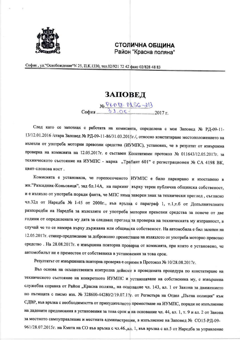

## **СТОЛИЧНА ОБЩИНА** Район "Красна поляна"

София, ул. "Освобождение" N 25, П.К.1330, тел.02/921 72 42 факс 02/828 48 83

## ЗАПОВЕД

 $N_2$  PLN 17. PLSG-d13<br>31.06. 2017 r.

След като се запознах с работата на комисията, определена с моя Заповед № РД-09-11-13/12.01.2016 /стара Заповед № РД-09-11-86/31.03.2015г./, относно констатиране местоположението на излезли от употреба моторни превозни средства (ИУМПС), установих, че в резултат от извършена проверка на комисията на 12.05.2017г. е съставен Констативен протокол № 011643/12.05.2017г. за техническото състояние на ИУМПС - марка "Трабант 601" с регистрационен № СА 4198 ВК, цвят-слонова кост.

Комисията е установила, че горепосоченото ИУМПС е било паркирано и изоставено в жк."Разсадник-Коньовица", зад бл.14А, на паркинг върху терен публична общинска собственост, и е излязло от употреба поради факта, че МПС няма заверен знак за технически преглед, съгласно чл.32д от Наредба № 1-45 от 2000г., във връзка с параграф 1, т.1,т.б от Допълнителните разпоредби на Наредба за излезлите от употреба моторни превозни средства за повече от две години от определената му дата за следващ преглед за проверка на техническата му изправност, в случай че то се намира върху държавна или общинска собственост. На автомобила е бил залепен на 12.05.2017г. стикер-предписание за доброволно преместване на излязлото от употреба моторно превозно средство. На 28.08.2017г. е извършена повторна проверка от комисията, при която е установено, че автомобилът не е преместен от собственика в установения за това срок.

Резултатът от извършената повторна проверка е отразен в Протокол № 10/28.08.2017г.

Въз основа на осъществената контролна дейност в проведената процедура по констатиране на техническото състояние на конкретното ИУМПС и установяване на собственика му, е извършена служебна справка от Район "Красна поляна,, на основание чл. 143, ал. 1 от Закона за движението по пътищата с писмо изх. № 328600-44280/2/19.07.17г. от Регистъра на Отдел "Пътна полиция" към СДВР, във връзка с необходимостта от принудителното преместване на ИУМПС, поради не изпълнение на дадените предписания в установения за това срок и на основание чл. 44, ал. 1, т. 9 и ал. 2 от Закона за местното самоуправление и местната администрация, в изпълнение на Заповед № СО15-РД-09-961/28.07.2015г. на Кмета на СО във връзка с чл.46., ал. 1, във връзка с ал.5 от Наредба за управление